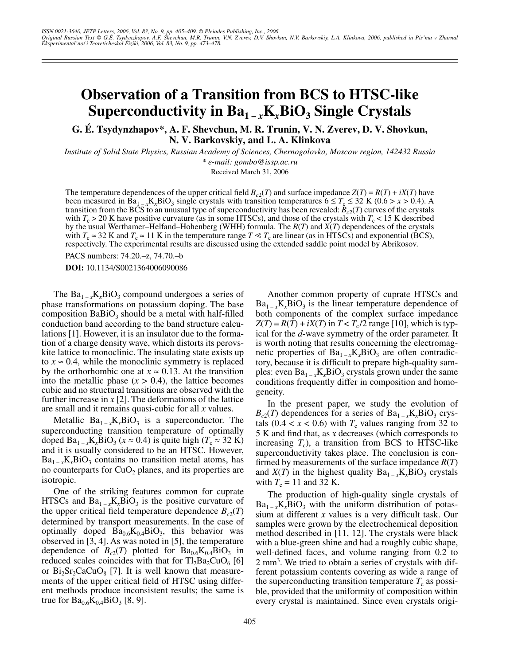## **Observation of a Transition from BCS to HTSC-like Superconductivity in**  $Ba_{1-x}K_xBiO_3$  **Single Crystals**

**G. É. Tsydynzhapov\*, A. F. Shevchun, M. R. Trunin, V. N. Zverev, D. V. Shovkun, N. V. Barkovskiy, and L. A. Klinkova**

*Institute of Solid State Physics, Russian Academy of Sciences, Chernogolovka, Moscow region, 142432 Russia \* e-mail: gombo@issp.ac.ru*

Received March 31, 2006

The temperature dependences of the upper critical field  $B_{c2}(T)$  and surface impedance  $Z(T) = R(T) + iX(T)$  have been measured in Ba<sub>1 – *x*K<sub>*x*</sub>BiO<sub>3</sub> single crystals with transition temperatures  $6 \le T_c \le 32$  K (0.6 > *x* > 0.4). A</sub> transition from the BCS to an unusual type of superconductivity has been revealed:  $B_{c2}(T)$  curves of the crystals with  $T_c > 20$  K have positive curvature (as in some HTSCs), and those of the crystals with  $T_c < 15$  K described by the usual Werthamer–Helfand–Hohenberg (WHH) formula. The *R*(*T*) and *X*(*T*) dependences of the crystals with  $T_c \approx 32$  K and  $T_c \approx 11$  K in the temperature range  $T \ll T_c$  are linear (as in HTSCs) and exponential (BCS), respectively. The experimental results are discussed using the extended saddle point model by Abrikosov.

PACS numbers: 74.20.–z, 74.70.–b

**DOI:** 10.1134/S0021364006090086

The  $Ba_{1-x}K_xBiO_3$  compound undergoes a series of phase transformations on potassium doping. The base composition  $BaBiO<sub>3</sub>$  should be a metal with half-filled conduction band according to the band structure calculations [1]. However, it is an insulator due to the formation of a charge density wave, which distorts its perovskite lattice to monoclinic. The insulating state exists up to  $x \approx 0.4$ , while the monoclinic symmetry is replaced by the orthorhombic one at  $x \approx 0.13$ . At the transition into the metallic phase  $(x > 0.4)$ , the lattice becomes cubic and no structural transitions are observed with the further increase in *x* [2]. The deformations of the lattice are small and it remains quasi-cubic for all *x* values.

Metallic  $Ba_{1-x}K_xBiO_3$  is a superconductor. The superconducting transition temperature of optimally doped  $Ba_{1-x}K_xBiO_3$  ( $x \approx 0.4$ ) is quite high ( $T_c \approx 32$  K) and it is usually considered to be an HTSC. However,  $Ba_{1-x}K_xBiO_3$  contains no transition metal atoms, has no counterparts for  $CuO<sub>2</sub>$  planes, and its properties are isotropic.

One of the striking features common for cuprate HTSCs and  $Ba_{1-x}K_xBiO_3$  is the positive curvature of the upper critical field temperature dependence  $B_{c2}(T)$ determined by transport measurements. In the case of optimally doped  $Ba_{0.6}K_{0.4}BiO_3$ , this behavior was observed in [3, 4]. As was noted in [5], the temperature dependence of  $B_{c2}(T)$  plotted for  $Ba_{0.6}K_{0.4}BiO_3$  in reduced scales coincides with that for  $Tl_2Ba_2CuO_6$  [6] or  $Bi_2Sr_2CaCuO_8$  [7]. It is well known that measurements of the upper critical field of HTSC using different methods produce inconsistent results; the same is true for  $Ba_{0.6}K_{0.4}BiO_3$  [8, 9].

Another common property of cuprate HTSCs and  $Ba_{1-x}K_xBiO_3$  is the linear temperature dependence of both components of the complex surface impedance  $Z(T) = R(T) + iX(T)$  in  $T < T_c/2$  range [10], which is typical for the *d*-wave symmetry of the order parameter. It is worth noting that results concerning the electromagnetic properties of  $Ba_{1-x}K_xBiO_3$  are often contradictory, because it is difficult to prepare high-quality samples: even  $Ba_{1-x}K_xBiO_3$  crystals grown under the same conditions frequently differ in composition and homogeneity.

In the present paper, we study the evolution of  $B_{c2}(T)$  dependences for a series of  $Ba_{1-x}K_xBiO_3$  crystals  $(0.4 < x < 0.6)$  with  $T_c$  values ranging from 32 to 5 K and find that, as *x* decreases (which corresponds to increasing  $T_c$ ), a transition from BCS to HTSC-like superconductivity takes place. The conclusion is confirmed by measurements of the surface impedance *R*(*T*) and *X*(*T*) in the highest quality  $Ba_{1-x}K_xBiO_3$  crystals with  $T_c = 11$  and 32 K.

The production of high-quality single crystals of  $Ba_{1-x}K_xBiO_3$  with the uniform distribution of potassium at different *x* values is a very difficult task. Our samples were grown by the electrochemical deposition method described in [11, 12]. The crystals were black with a blue-green shine and had a roughly cubic shape, well-defined faces, and volume ranging from 0.2 to 2 mm<sup>3</sup>. We tried to obtain a series of crystals with different potassium contents covering as wide a range of the superconducting transition temperature  $T_c$  as possible, provided that the uniformity of composition within every crystal is maintained. Since even crystals origi-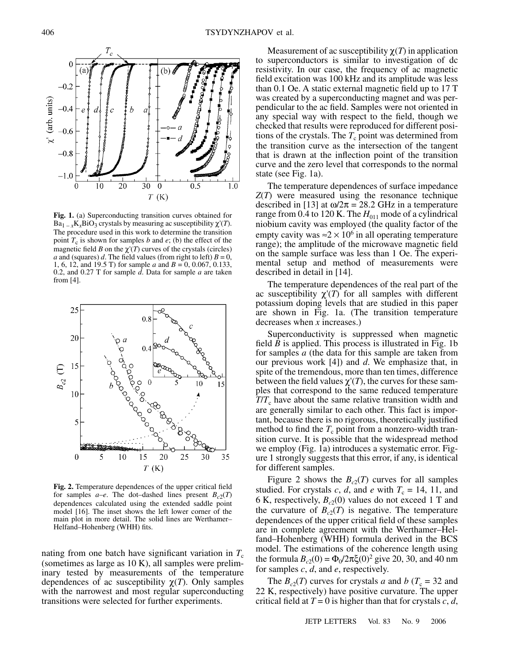20 30 1.0 10 0 0.5  $T(K)$ **Fig. 1.** (a) Superconducting transition curves obtained for  $Ba_{1-x}K_{x}BiO_{3}$  crystals by measuring ac susceptibility  $\chi'(T)$ . The procedure used in this work to determine the transition point  $T_c$  is shown for samples *b* and *e*; (b) the effect of the magnetic field *B* on the  $\chi'(T)$  curves of the crystals (circles) *a* and (squares) *d*. The field values (from right to left)  $B = 0$ , 1, 6, 12, and 19.5 T) for sample *a* and  $B = 0$ , 0.067, 0.133, 0.2, and 0.27 T for sample *d*. Data for sample *a* are taken from [4].

 $\overline{a}$ 



**Fig. 2.** Temperature dependences of the upper critical field for samples  $a-e$ . The dot–dashed lines present  $B_{c2}(T)$ dependences calculated using the extended saddle point model [16]. The inset shows the left lower corner of the main plot in more detail. The solid lines are Werthamer– Helfand–Hohenberg (WHH) fits.

nating from one batch have significant variation in  $T_c$ (sometimes as large as 10 K), all samples were preliminary tested by measurements of the temperature dependences of ac susceptibility  $\chi(T)$ . Only samples with the narrowest and most regular superconducting transitions were selected for further experiments.

Measurement of ac susceptibility  $\chi(T)$  in application to superconductors is similar to investigation of dc resistivity. In our case, the frequency of ac magnetic field excitation was 100 kHz and its amplitude was less than 0.1 Oe. A static external magnetic field up to 17 T was created by a superconducting magnet and was perpendicular to the ac field. Samples were not oriented in any special way with respect to the field, though we checked that results were reproduced for different positions of the crystals. The  $T_c$  point was determined from the transition curve as the intersection of the tangent that is drawn at the inflection point of the transition curve and the zero level that corresponds to the normal state (see Fig. 1a).

The temperature dependences of surface impedance *Z*(*T*) were measured using the resonance technique described in [13] at  $\omega/2\pi = 28.2$  GHz in a temperature range from 0.4 to 120 K. The  $H_{011}$  mode of a cylindrical niobium cavity was employed (the quality factor of the empty cavity was  $\approx 2 \times 10^6$  in all operating temperature range); the amplitude of the microwave magnetic field on the sample surface was less than 1 Oe. The experimental setup and method of measurements were described in detail in [14].

The temperature dependences of the real part of the ac susceptibility χ'(*T*) for all samples with different potassium doping levels that are studied in this paper are shown in Fig. 1a. (The transition temperature decreases when *x* increases.)

Superconductivity is suppressed when magnetic field *B* is applied. This process is illustrated in Fig. 1b for samples *a* (the data for this sample are taken from our previous work [4]) and *d*. We emphasize that, in spite of the tremendous, more than ten times, difference between the field values  $\chi'(T)$ , the curves for these samples that correspond to the same reduced temperature *T*/*T*<sub>c</sub> have about the same relative transition width and are generally similar to each other. This fact is important, because there is no rigorous, theoretically justified method to find the  $T_c$  point from a nonzero-width transition curve. It is possible that the widespread method we employ (Fig. 1a) introduces a systematic error. Figure 1 strongly suggests that this error, if any, is identical for different samples.

Figure 2 shows the  $B_{c2}(T)$  curves for all samples studied. For crystals *c*, *d*, and *e* with  $T_c = 14$ , 11, and 6 K, respectively,  $B_{c2}(0)$  values do not exceed 1 T and the curvature of  $B_{c2}(T)$  is negative. The temperature dependences of the upper critical field of these samples are in complete agreement with the Werthamer–Helfand–Hohenberg (WHH) formula derived in the BCS model. The estimations of the coherence length using the formula  $B_{c2}(0) = \Phi_0/2\pi \xi(0)^2$  give 20, 30, and 40 nm for samples *c*, *d*, and *e*, respectively.

The  $B_{c2}(T)$  curves for crystals *a* and *b* ( $T_c = 32$  and 22 K, respectively) have positive curvature. The upper critical field at  $T = 0$  is higher than that for crystals  $c, d$ ,

 $\chi'$  (arb. units)

 $\Omega$ 

 $-0.2$ 

-0.4

 $0.6$ 

 $-0.8$ 

 $-1.0$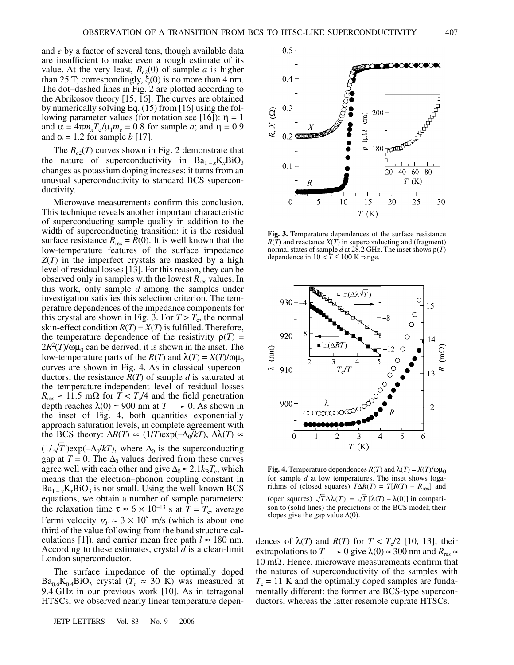and *e* by a factor of several tens, though available data are insufficient to make even a rough estimate of its value. At the very least,  $B_{c2}(0)$  of sample *a* is higher than 25 T; correspondingly,  $ξ(0)$  is no more than 4 nm. The dot–dashed lines in Fig. 2 are plotted according to the Abrikosov theory [15, 16]. The curves are obtained by numerically solving Eq. (15) from [16] using the following parameter values (for notation see [16]):  $η = 1$ and  $\alpha = 4\pi m_x T_c / \mu_1 m_e = 0.8$  for sample *a*; and  $\eta = 0.9$ and  $\alpha = 1.2$  for sample *b* [17].

The  $B_{c2}(T)$  curves shown in Fig. 2 demonstrate that the nature of superconductivity in  $Ba_{1-x}K_xBiO_3$ changes as potassium doping increases: it turns from an unusual superconductivity to standard BCS superconductivity.

Microwave measurements confirm this conclusion. This technique reveals another important characteristic of superconducting sample quality in addition to the width of superconducting transition: it is the residual surface resistance  $R_{res} = R(0)$ . It is well known that the low-temperature features of the surface impedance *Z*(*T*) in the imperfect crystals are masked by a high level of residual losses [13]. For this reason, they can be observed only in samples with the lowest *R*res values. In this work, only sample *d* among the samples under investigation satisfies this selection criterion. The temperature dependences of the impedance components for this crystal are shown in Fig. 3. For  $T > T_c$ , the normal skin-effect condition  $R(T) = X(T)$  is fulfilled. Therefore, the temperature dependence of the resistivity  $\rho(T)$  =  $2R^2(T)/\omega\mu_0$  can be derived; it is shown in the inset. The low-temperature parts of the *R*(*T*) and  $\lambda$ (*T*) = *X*(*T*)/ωμ<sub>0</sub> curves are shown in Fig. 4. As in classical superconductors, the resistance *R*(*T*) of sample *d* is saturated at the temperature-independent level of residual losses  $R_{\text{res}} \approx 11.5 \text{ m}\Omega$  for  $T < T_c/4$  and the field penetration depth reaches  $\lambda(0) \approx 900$  nm at  $T \rightarrow 0$ . As shown in the inset of Fig. 4, both quantities exponentially approach saturation levels, in complete agreement with the BCS theory:  $\Delta R(T) \propto (1/T) \exp(-\Delta_0/kT)$ ,  $\Delta \lambda(T) \propto$ 

 $(1/\sqrt{T})exp(-\Delta_0/kT)$ , where  $\Delta_0$  is the superconducting gap at *T* = 0. The  $\Delta_0$  values derived from these curves agree well with each other and give  $\Delta_0 \approx 2.1 k_B T_c$ , which means that the electron–phonon coupling constant in  $Ba_{1-x}K_xBiO_3$  is not small. Using the well-known BCS equations, we obtain a number of sample parameters: the relaxation time  $\tau \approx 6 \times 10^{-13}$  s at  $\hat{T} = T_c$ , average Fermi velocity  $v_F \approx 3 \times 10^5$  m/s (which is about one third of the value following from the band structure calculations [1]), and carrier mean free path  $l \approx 180$  nm. According to these estimates, crystal *d* is a clean-limit London superconductor.

The surface impedance of the optimally doped  $Ba_{0.6}K_{0.4}BiO_3$  crystal ( $T_c \approx 30$  K) was measured at 9.4 GHz in our previous work [10]. As in tetragonal HTSCs, we observed nearly linear temperature depen-

JETP LETTERS Vol. 83 No. 9 2006



**Fig. 3.** Temperature dependences of the surface resistance  $R(T)$  and reactance  $X(T)$  in superconducting and (fragment) normal states of sample *d* at 28.2 GHz. The inset shows ρ(*T*) dependence in  $10 < T \le 100$  K range.



**Fig. 4.** Temperature dependences  $R(T)$  and  $\lambda(T) = X(T)/\omega\mu_0$ for sample *d* at low temperatures. The inset shows logarithms of (closed squares)  $T\Delta R(T) = T[R(T) - R_{res}]$  and (open squares)  $\sqrt{T} \Delta \lambda(T) = \sqrt{T} [\lambda(T) - \lambda(0)]$  in comparison to (solid lines) the predictions of the BCS model; their slopes give the gap value  $\Delta(0)$ .

dences of  $\lambda(T)$  and  $R(T)$  for  $T < T_c/2$  [10, 13]; their extrapolations to *T*  $\longrightarrow$  0 give  $\lambda$ (0)  $\approx$  300 nm and  $R_{res} \approx$  $10$  mΩ. Hence, microwave measurements confirm that the natures of superconductivity of the samples with  $T_c = 11$  K and the optimally doped samples are fundamentally different: the former are BCS-type superconductors, whereas the latter resemble cuprate HTSCs.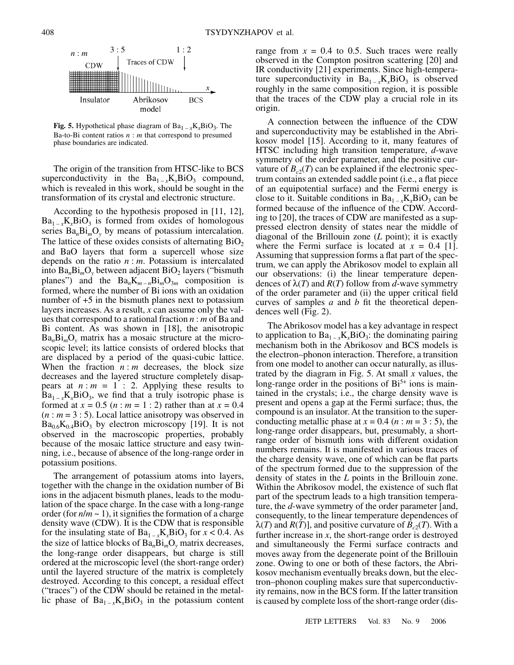

**Fig. 5.** Hypothetical phase diagram of  $Ba_{1-x}K_xBiO_3$ . The Ba-to-Bi content ratios *n* : *m* that correspond to presumed phase boundaries are indicated.

The origin of the transition from HTSC-like to BCS superconductivity in the  $Ba_{1-x}K_xBiO_3$  compound, which is revealed in this work, should be sought in the transformation of its crystal and electronic structure.

According to the hypothesis proposed in [11, 12],  $Ba_{1-x}K_xBiO_3$  is formed from oxides of homologous series  $Ba<sub>n</sub>Bi<sub>m</sub>O<sub>v</sub>$  by means of potassium intercalation. The lattice of these oxides consists of alternating  $BiO<sub>2</sub>$ and BaO layers that form a supercell whose size depends on the ratio *n* : *m*. Potassium is intercalated into  $Ba<sub>n</sub>Bi<sub>m</sub>O<sub>v</sub>$  between adjacent  $BiO<sub>2</sub>$  layers ("bismuth planes") and the  $Ba_nK_{m-n}Bi_mO_{3m}$  composition is formed, where the number of Bi ions with an oxidation number of +5 in the bismuth planes next to potassium layers increases. As a result, *x* can assume only the values that correspond to a rational fraction *n* : *m* of Ba and Bi content. As was shown in [18], the anisotropic Ba*n*Bi*m*O*y* matrix has a mosaic structure at the microscopic level; its lattice consists of ordered blocks that are displaced by a period of the quasi-cubic lattice. When the fraction  $n : m$  decreases, the block size decreases and the layered structure completely disappears at  $n : m = 1 : 2$ . Applying these results to  $Ba_{1-x}K_xBiO_3$ , we find that a truly isotropic phase is formed at  $x = 0.5$  (*n* : *m* = 1 : 2) rather than at  $x = 0.4$  $(n : m = 3 : 5)$ . Local lattice anisotropy was observed in  $Ba_{0.6}K_{0.4}BiO_3$  by electron microscopy [19]. It is not observed in the macroscopic properties, probably because of the mosaic lattice structure and easy twinning, i.e., because of absence of the long-range order in potassium positions.

The arrangement of potassium atoms into layers, together with the change in the oxidation number of Bi ions in the adjacent bismuth planes, leads to the modulation of the space charge. In the case with a long-range order (for  $n/m \sim 1$ ), it signifies the formation of a charge density wave (CDW). It is the CDW that is responsible for the insulating state of  $Ba_{1-x}K_xBiO_3$  for  $x < 0.4$ . As the size of lattice blocks of Ba*n*Bi*m*O*y* matrix decreases, the long-range order disappears, but charge is still ordered at the microscopic level (the short-range order) until the layered structure of the matrix is completely destroyed. According to this concept, a residual effect ("traces") of the CDW should be retained in the metallic phase of  $Ba_{1-x}K_xBiO_3$  in the potassium content range from  $x = 0.4$  to 0.5. Such traces were really observed in the Compton positron scattering [20] and IR conductivity [21] experiments. Since high-temperature superconductivity in  $Ba_{1-x}K_xBiO_3$  is observed roughly in the same composition region, it is possible that the traces of the CDW play a crucial role in its origin.

A connection between the influence of the CDW and superconductivity may be established in the Abrikosov model [15]. According to it, many features of HTSC including high transition temperature, *d*-wave symmetry of the order parameter, and the positive curvature of  $B_{c2}(T)$  can be explained if the electronic spectrum contains an extended saddle point (i.e., a flat piece of an equipotential surface) and the Fermi energy is close to it. Suitable conditions in  $Ba_{1-x}K_xBiO_3$  can be formed because of the influence of the CDW. According to [20], the traces of CDW are manifested as a suppressed electron density of states near the middle of diagonal of the Brillouin zone (*L* point); it is exactly where the Fermi surface is located at  $x = 0.4$  [1]. Assuming that suppression forms a flat part of the spectrum, we can apply the Abrikosov model to explain all our observations: (i) the linear temperature dependences of  $\lambda(T)$  and  $R(T)$  follow from d-wave symmetry of the order parameter and (ii) the upper critical field curves of samples *a* and *b* fit the theoretical dependences well (Fig. 2).

The Abrikosov model has a key advantage in respect to application to  $Ba_{1-x}K_xBiO_3$ : the dominating pairing mechanism both in the Abrikosov and BCS models is the electron–phonon interaction. Therefore, a transition from one model to another can occur naturally, as illustrated by the diagram in Fig. 5. At small *x* values, the long-range order in the positions of  $Bi<sup>5+</sup>$  ions is maintained in the crystals; i.e., the charge density wave is present and opens a gap at the Fermi surface; thus, the compound is an insulator. At the transition to the superconducting metallic phase at  $x = 0.4$  ( $n : m = 3 : 5$ ), the long-range order disappears, but, presumably, a shortrange order of bismuth ions with different oxidation numbers remains. It is manifested in various traces of the charge density wave, one of which can be flat parts of the spectrum formed due to the suppression of the density of states in the *L* points in the Brillouin zone. Within the Abrikosov model, the existence of such flat part of the spectrum leads to a high transition temperature, the *d*-wave symmetry of the order parameter [and, consequently, to the linear temperature dependences of  $\lambda(T)$  and *R*(*T*)], and positive curvature of *B<sub>c2</sub>*(*T*). With a further increase in  $x$ , the short-range order is destroyed and simultaneously the Fermi surface contracts and moves away from the degenerate point of the Brillouin zone. Owing to one or both of these factors, the Abrikosov mechanism eventually breaks down, but the electron–phonon coupling makes sure that superconductivity remains, now in the BCS form. If the latter transition is caused by complete loss of the short-range order (dis